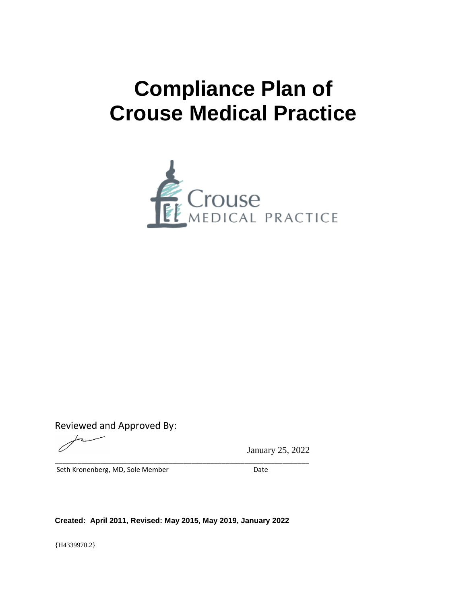# **Compliance Plan of Crouse Medical Practice**



Reviewed and Approved By:

January 25, 2022

Seth Kronenberg, MD, Sole Member Date

**Created: April 2011, Revised: May 2015, May 2019, January 2022**

\_\_\_\_\_\_\_\_\_\_\_\_\_\_\_\_\_\_\_\_\_\_\_\_\_\_\_\_\_\_\_\_\_\_\_\_\_\_\_\_\_\_\_\_\_\_\_\_\_\_\_\_\_\_\_\_\_\_\_\_\_\_\_\_\_\_\_

{H4339970.2}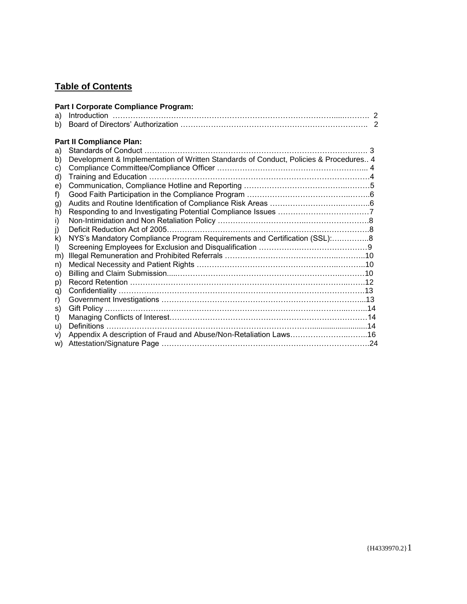# **Table of Contents**

## **Part I Corporate Compliance Program:**

| b)      |                                                                                       |  |
|---------|---------------------------------------------------------------------------------------|--|
|         |                                                                                       |  |
|         | <b>Part II Compliance Plan:</b>                                                       |  |
| a)      |                                                                                       |  |
| b)      | Development & Implementation of Written Standards of Conduct, Policies & Procedures 4 |  |
| C)      |                                                                                       |  |
| d)      |                                                                                       |  |
| e)      |                                                                                       |  |
| f)      |                                                                                       |  |
| g)      |                                                                                       |  |
| h)      |                                                                                       |  |
| i)      |                                                                                       |  |
| j)      |                                                                                       |  |
| k)      | NYS's Mandatory Compliance Program Requirements and Certification (SSL):8             |  |
| $\vert$ |                                                                                       |  |
| m)      |                                                                                       |  |
| n)      |                                                                                       |  |
| O)      |                                                                                       |  |
| p)      |                                                                                       |  |
| q)      |                                                                                       |  |
| r)      |                                                                                       |  |
| s)      |                                                                                       |  |
| t)      |                                                                                       |  |
| u)      |                                                                                       |  |
| V)      | Appendix A description of Fraud and Abuse/Non-Retaliation Laws16                      |  |
| W)      |                                                                                       |  |
|         |                                                                                       |  |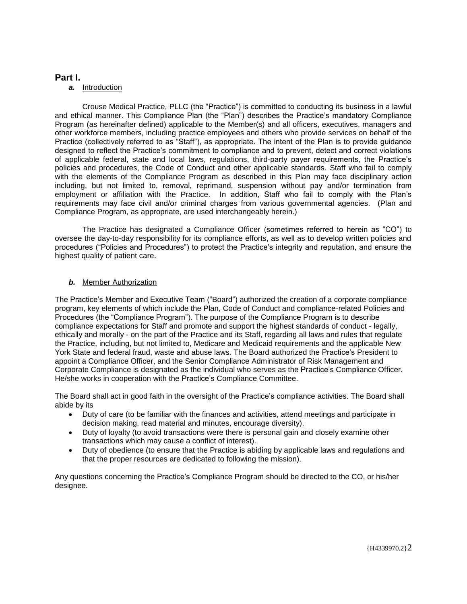## **Part I.**

## *a.* Introduction

Crouse Medical Practice, PLLC (the "Practice") is committed to conducting its business in a lawful and ethical manner. This Compliance Plan (the "Plan") describes the Practice's mandatory Compliance Program (as hereinafter defined) applicable to the Member(s) and all officers, executives, managers and other workforce members, including practice employees and others who provide services on behalf of the Practice (collectively referred to as "Staff"), as appropriate. The intent of the Plan is to provide guidance designed to reflect the Practice's commitment to compliance and to prevent, detect and correct violations of applicable federal, state and local laws, regulations, third-party payer requirements, the Practice's policies and procedures, the Code of Conduct and other applicable standards. Staff who fail to comply with the elements of the Compliance Program as described in this Plan may face disciplinary action including, but not limited to, removal, reprimand, suspension without pay and/or termination from employment or affiliation with the Practice. In addition, Staff who fail to comply with the Plan's requirements may face civil and/or criminal charges from various governmental agencies. (Plan and Compliance Program, as appropriate, are used interchangeably herein.)

The Practice has designated a Compliance Officer (sometimes referred to herein as "CO") to oversee the day-to-day responsibility for its compliance efforts, as well as to develop written policies and procedures ("Policies and Procedures") to protect the Practice's integrity and reputation, and ensure the highest quality of patient care.

## *b.* Member Authorization

The Practice's Member and Executive Team ("Board") authorized the creation of a corporate compliance program, key elements of which include the Plan, Code of Conduct and compliance-related Policies and Procedures (the "Compliance Program"). The purpose of the Compliance Program is to describe compliance expectations for Staff and promote and support the highest standards of conduct - legally, ethically and morally - on the part of the Practice and its Staff, regarding all laws and rules that regulate the Practice, including, but not limited to, Medicare and Medicaid requirements and the applicable New York State and federal fraud, waste and abuse laws. The Board authorized the Practice's President to appoint a Compliance Officer, and the Senior Compliance Administrator of Risk Management and Corporate Compliance is designated as the individual who serves as the Practice's Compliance Officer. He/she works in cooperation with the Practice's Compliance Committee.

The Board shall act in good faith in the oversight of the Practice's compliance activities. The Board shall abide by its

- Duty of care (to be familiar with the finances and activities, attend meetings and participate in decision making, read material and minutes, encourage diversity).
- Duty of loyalty (to avoid transactions were there is personal gain and closely examine other transactions which may cause a conflict of interest).
- Duty of obedience (to ensure that the Practice is abiding by applicable laws and regulations and that the proper resources are dedicated to following the mission).

Any questions concerning the Practice's Compliance Program should be directed to the CO, or his/her designee.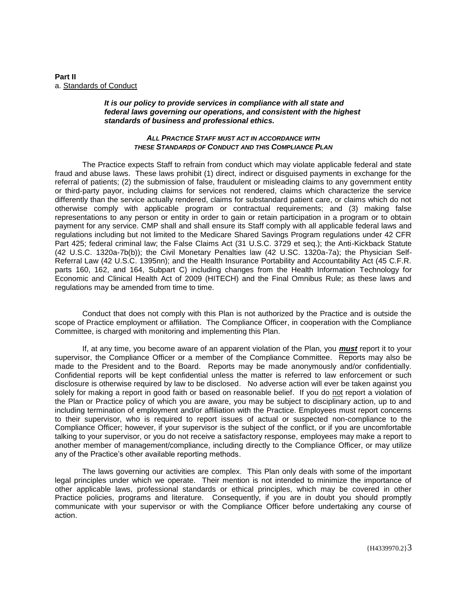**Part II** a. Standards of Conduct

#### *It is our policy to provide services in compliance with all state and federal laws governing our operations, and consistent with the highest standards of business and professional ethics.*

#### *ALL PRACTICE STAFF MUST ACT IN ACCORDANCE WITH THESE STANDARDS OF CONDUCT AND THIS COMPLIANCE PLAN*

The Practice expects Staff to refrain from conduct which may violate applicable federal and state fraud and abuse laws. These laws prohibit (1) direct, indirect or disguised payments in exchange for the referral of patients; (2) the submission of false, fraudulent or misleading claims to any government entity or third-party payor, including claims for services not rendered, claims which characterize the service differently than the service actually rendered, claims for substandard patient care, or claims which do not otherwise comply with applicable program or contractual requirements; and (3) making false representations to any person or entity in order to gain or retain participation in a program or to obtain payment for any service. CMP shall and shall ensure its Staff comply with all applicable federal laws and regulations including but not limited to the Medicare Shared Savings Program regulations under 42 CFR Part 425; federal criminal law; the False Claims Act (31 U.S.C. 3729 et seq.); the Anti-Kickback Statute (42 U.S.C. 1320a-7b(b)); the Civil Monetary Penalties law (42 U.SC. 1320a-7a); the Physician Self-Referral Law (42 U.S.C. 1395nn); and the Health Insurance Portability and Accountability Act (45 C.F.R. parts 160, 162, and 164, Subpart C) including changes from the Health Information Technology for Economic and Clinical Health Act of 2009 (HITECH) and the Final Omnibus Rule; as these laws and regulations may be amended from time to time.

Conduct that does not comply with this Plan is not authorized by the Practice and is outside the scope of Practice employment or affiliation. The Compliance Officer, in cooperation with the Compliance Committee, is charged with monitoring and implementing this Plan.

If, at any time, you become aware of an apparent violation of the Plan, you *must* report it to your supervisor, the Compliance Officer or a member of the Compliance Committee. Reports may also be made to the President and to the Board. Reports may be made anonymously and/or confidentially. Confidential reports will be kept confidential unless the matter is referred to law enforcement or such disclosure is otherwise required by law to be disclosed. No adverse action will ever be taken against you solely for making a report in good faith or based on reasonable belief. If you do not report a violation of the Plan or Practice policy of which you are aware, you may be subject to disciplinary action, up to and including termination of employment and/or affiliation with the Practice. Employees must report concerns to their supervisor, who is required to report issues of actual or suspected non-compliance to the Compliance Officer; however, if your supervisor is the subject of the conflict, or if you are uncomfortable talking to your supervisor, or you do not receive a satisfactory response, employees may make a report to another member of management/compliance, including directly to the Compliance Officer, or may utilize any of the Practice's other available reporting methods.

The laws governing our activities are complex. This Plan only deals with some of the important legal principles under which we operate. Their mention is not intended to minimize the importance of other applicable laws, professional standards or ethical principles, which may be covered in other Practice policies, programs and literature. Consequently, if you are in doubt you should promptly communicate with your supervisor or with the Compliance Officer before undertaking any course of action.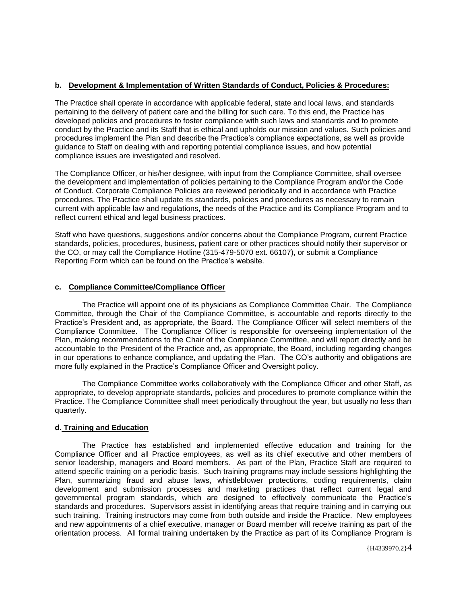## **b. Development & Implementation of Written Standards of Conduct, Policies & Procedures:**

The Practice shall operate in accordance with applicable federal, state and local laws, and standards pertaining to the delivery of patient care and the billing for such care. To this end, the Practice has developed policies and procedures to foster compliance with such laws and standards and to promote conduct by the Practice and its Staff that is ethical and upholds our mission and values. Such policies and procedures implement the Plan and describe the Practice's compliance expectations, as well as provide guidance to Staff on dealing with and reporting potential compliance issues, and how potential compliance issues are investigated and resolved.

The Compliance Officer, or his/her designee, with input from the Compliance Committee, shall oversee the development and implementation of policies pertaining to the Compliance Program and/or the Code of Conduct. Corporate Compliance Policies are reviewed periodically and in accordance with Practice procedures. The Practice shall update its standards, policies and procedures as necessary to remain current with applicable law and regulations, the needs of the Practice and its Compliance Program and to reflect current ethical and legal business practices.

Staff who have questions, suggestions and/or concerns about the Compliance Program, current Practice standards, policies, procedures, business, patient care or other practices should notify their supervisor or the CO, or may call the Compliance Hotline (315-479-5070 ext. 66107), or submit a Compliance Reporting Form which can be found on the Practice's website.

#### **c. Compliance Committee/Compliance Officer**

The Practice will appoint one of its physicians as Compliance Committee Chair. The Compliance Committee, through the Chair of the Compliance Committee, is accountable and reports directly to the Practice's President and, as appropriate, the Board. The Compliance Officer will select members of the Compliance Committee. The Compliance Officer is responsible for overseeing implementation of the Plan, making recommendations to the Chair of the Compliance Committee, and will report directly and be accountable to the President of the Practice and, as appropriate, the Board, including regarding changes in our operations to enhance compliance, and updating the Plan. The CO's authority and obligations are more fully explained in the Practice's Compliance Officer and Oversight policy.

The Compliance Committee works collaboratively with the Compliance Officer and other Staff, as appropriate, to develop appropriate standards, policies and procedures to promote compliance within the Practice. The Compliance Committee shall meet periodically throughout the year, but usually no less than quarterly.

## **d. Training and Education**

The Practice has established and implemented effective education and training for the Compliance Officer and all Practice employees, as well as its chief executive and other members of senior leadership, managers and Board members. As part of the Plan, Practice Staff are required to attend specific training on a periodic basis. Such training programs may include sessions highlighting the Plan, summarizing fraud and abuse laws, whistleblower protections, coding requirements, claim development and submission processes and marketing practices that reflect current legal and governmental program standards, which are designed to effectively communicate the Practice's standards and procedures. Supervisors assist in identifying areas that require training and in carrying out such training. Training instructors may come from both outside and inside the Practice. New employees and new appointments of a chief executive, manager or Board member will receive training as part of the orientation process. All formal training undertaken by the Practice as part of its Compliance Program is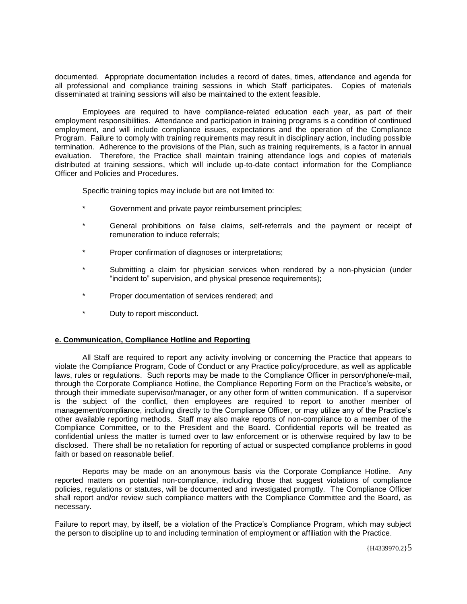documented. Appropriate documentation includes a record of dates, times, attendance and agenda for all professional and compliance training sessions in which Staff participates. Copies of materials disseminated at training sessions will also be maintained to the extent feasible.

Employees are required to have compliance-related education each year, as part of their employment responsibilities. Attendance and participation in training programs is a condition of continued employment, and will include compliance issues, expectations and the operation of the Compliance Program. Failure to comply with training requirements may result in disciplinary action, including possible termination. Adherence to the provisions of the Plan, such as training requirements, is a factor in annual evaluation. Therefore, the Practice shall maintain training attendance logs and copies of materials distributed at training sessions, which will include up-to-date contact information for the Compliance Officer and Policies and Procedures.

Specific training topics may include but are not limited to:

- \* Government and private payor reimbursement principles;
- \* General prohibitions on false claims, self-referrals and the payment or receipt of remuneration to induce referrals;
- \* Proper confirmation of diagnoses or interpretations;
- Submitting a claim for physician services when rendered by a non-physician (under "incident to" supervision, and physical presence requirements);
- Proper documentation of services rendered; and
- Duty to report misconduct.

#### **e. Communication, Compliance Hotline and Reporting**

All Staff are required to report any activity involving or concerning the Practice that appears to violate the Compliance Program, Code of Conduct or any Practice policy/procedure, as well as applicable laws, rules or regulations. Such reports may be made to the Compliance Officer in person/phone/e-mail, through the Corporate Compliance Hotline, the Compliance Reporting Form on the Practice's website, or through their immediate supervisor/manager, or any other form of written communication. If a supervisor is the subject of the conflict, then employees are required to report to another member of management/compliance, including directly to the Compliance Officer, or may utilize any of the Practice's other available reporting methods. Staff may also make reports of non-compliance to a member of the Compliance Committee, or to the President and the Board. Confidential reports will be treated as confidential unless the matter is turned over to law enforcement or is otherwise required by law to be disclosed. There shall be no retaliation for reporting of actual or suspected compliance problems in good faith or based on reasonable belief.

Reports may be made on an anonymous basis via the Corporate Compliance Hotline. Any reported matters on potential non-compliance, including those that suggest violations of compliance policies, regulations or statutes, will be documented and investigated promptly. The Compliance Officer shall report and/or review such compliance matters with the Compliance Committee and the Board, as necessary.

Failure to report may, by itself, be a violation of the Practice's Compliance Program, which may subject the person to discipline up to and including termination of employment or affiliation with the Practice.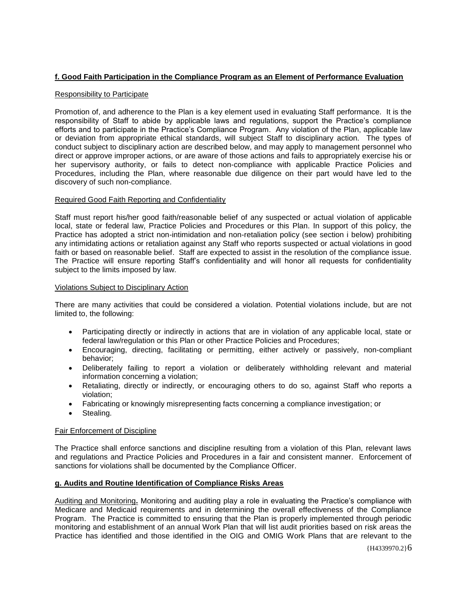## **f. Good Faith Participation in the Compliance Program as an Element of Performance Evaluation**

## Responsibility to Participate

Promotion of, and adherence to the Plan is a key element used in evaluating Staff performance. It is the responsibility of Staff to abide by applicable laws and regulations, support the Practice's compliance efforts and to participate in the Practice's Compliance Program. Any violation of the Plan, applicable law or deviation from appropriate ethical standards, will subject Staff to disciplinary action. The types of conduct subject to disciplinary action are described below, and may apply to management personnel who direct or approve improper actions, or are aware of those actions and fails to appropriately exercise his or her supervisory authority, or fails to detect non-compliance with applicable Practice Policies and Procedures, including the Plan, where reasonable due diligence on their part would have led to the discovery of such non-compliance.

#### Required Good Faith Reporting and Confidentiality

Staff must report his/her good faith/reasonable belief of any suspected or actual violation of applicable local, state or federal law, Practice Policies and Procedures or this Plan. In support of this policy, the Practice has adopted a strict non-intimidation and non-retaliation policy (see section i below) prohibiting any intimidating actions or retaliation against any Staff who reports suspected or actual violations in good faith or based on reasonable belief. Staff are expected to assist in the resolution of the compliance issue. The Practice will ensure reporting Staff's confidentiality and will honor all requests for confidentiality subject to the limits imposed by law.

## Violations Subject to Disciplinary Action

There are many activities that could be considered a violation. Potential violations include, but are not limited to, the following:

- Participating directly or indirectly in actions that are in violation of any applicable local, state or federal law/regulation or this Plan or other Practice Policies and Procedures;
- Encouraging, directing, facilitating or permitting, either actively or passively, non-compliant behavior;
- Deliberately failing to report a violation or deliberately withholding relevant and material information concerning a violation;
- Retaliating, directly or indirectly, or encouraging others to do so, against Staff who reports a violation;
- Fabricating or knowingly misrepresenting facts concerning a compliance investigation; or
- Stealing.

#### Fair Enforcement of Discipline

The Practice shall enforce sanctions and discipline resulting from a violation of this Plan, relevant laws and regulations and Practice Policies and Procedures in a fair and consistent manner. Enforcement of sanctions for violations shall be documented by the Compliance Officer.

#### **g. Audits and Routine Identification of Compliance Risks Areas**

Auditing and Monitoring**.** Monitoring and auditing play a role in evaluating the Practice's compliance with Medicare and Medicaid requirements and in determining the overall effectiveness of the Compliance Program. The Practice is committed to ensuring that the Plan is properly implemented through periodic monitoring and establishment of an annual Work Plan that will list audit priorities based on risk areas the Practice has identified and those identified in the OIG and OMIG Work Plans that are relevant to the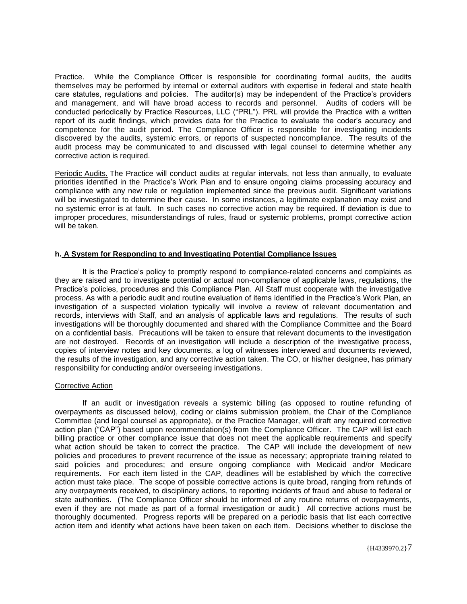Practice. While the Compliance Officer is responsible for coordinating formal audits, the audits themselves may be performed by internal or external auditors with expertise in federal and state health care statutes, regulations and policies. The auditor(s) may be independent of the Practice's providers and management, and will have broad access to records and personnel. Audits of coders will be conducted periodically by Practice Resources, LLC ("PRL"). PRL will provide the Practice with a written report of its audit findings, which provides data for the Practice to evaluate the coder's accuracy and competence for the audit period. The Compliance Officer is responsible for investigating incidents discovered by the audits, systemic errors, or reports of suspected noncompliance. The results of the audit process may be communicated to and discussed with legal counsel to determine whether any corrective action is required.

Periodic Audits. The Practice will conduct audits at regular intervals, not less than annually, to evaluate priorities identified in the Practice's Work Plan and to ensure ongoing claims processing accuracy and compliance with any new rule or regulation implemented since the previous audit. Significant variations will be investigated to determine their cause. In some instances, a legitimate explanation may exist and no systemic error is at fault. In such cases no corrective action may be required. If deviation is due to improper procedures, misunderstandings of rules, fraud or systemic problems, prompt corrective action will be taken.

#### **h. A System for Responding to and Investigating Potential Compliance Issues**

It is the Practice's policy to promptly respond to compliance-related concerns and complaints as they are raised and to investigate potential or actual non-compliance of applicable laws, regulations, the Practice's policies, procedures and this Compliance Plan. All Staff must cooperate with the investigative process. As with a periodic audit and routine evaluation of items identified in the Practice's Work Plan, an investigation of a suspected violation typically will involve a review of relevant documentation and records, interviews with Staff, and an analysis of applicable laws and regulations. The results of such investigations will be thoroughly documented and shared with the Compliance Committee and the Board on a confidential basis. Precautions will be taken to ensure that relevant documents to the investigation are not destroyed. Records of an investigation will include a description of the investigative process, copies of interview notes and key documents, a log of witnesses interviewed and documents reviewed, the results of the investigation, and any corrective action taken. The CO, or his/her designee, has primary responsibility for conducting and/or overseeing investigations.

## Corrective Action

If an audit or investigation reveals a systemic billing (as opposed to routine refunding of overpayments as discussed below), coding or claims submission problem, the Chair of the Compliance Committee (and legal counsel as appropriate), or the Practice Manager, will draft any required corrective action plan ("CAP") based upon recommendation(s) from the Compliance Officer. The CAP will list each billing practice or other compliance issue that does not meet the applicable requirements and specify what action should be taken to correct the practice. The CAP will include the development of new policies and procedures to prevent recurrence of the issue as necessary; appropriate training related to said policies and procedures; and ensure ongoing compliance with Medicaid and/or Medicare requirements. For each item listed in the CAP, deadlines will be established by which the corrective action must take place. The scope of possible corrective actions is quite broad, ranging from refunds of any overpayments received, to disciplinary actions, to reporting incidents of fraud and abuse to federal or state authorities. (The Compliance Officer should be informed of any routine returns of overpayments, even if they are not made as part of a formal investigation or audit.) All corrective actions must be thoroughly documented. Progress reports will be prepared on a periodic basis that list each corrective action item and identify what actions have been taken on each item. Decisions whether to disclose the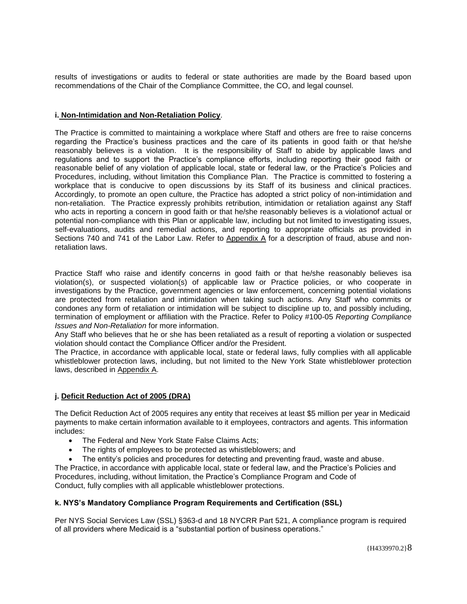results of investigations or audits to federal or state authorities are made by the Board based upon recommendations of the Chair of the Compliance Committee, the CO, and legal counsel.

## **i. Non-Intimidation and Non-Retaliation Policy**.

The Practice is committed to maintaining a workplace where Staff and others are free to raise concerns regarding the Practice's business practices and the care of its patients in good faith or that he/she reasonably believes is a violation. It is the responsibility of Staff to abide by applicable laws and regulations and to support the Practice's compliance efforts, including reporting their good faith or reasonable belief of any violation of applicable local, state or federal law, or the Practice's Policies and Procedures, including, without limitation this Compliance Plan. The Practice is committed to fostering a workplace that is conducive to open discussions by its Staff of its business and clinical practices. Accordingly, to promote an open culture, the Practice has adopted a strict policy of non-intimidation and non-retaliation. The Practice expressly prohibits retribution, intimidation or retaliation against any Staff who acts in reporting a concern in good faith or that he/she reasonably believes is a violationof actual or potential non-compliance with this Plan or applicable law, including but not limited to investigating issues, self-evaluations, audits and remedial actions, and reporting to appropriate officials as provided in Sections 740 and 741 of the Labor Law. Refer to Appendix A for a description of fraud, abuse and nonretaliation laws.

Practice Staff who raise and identify concerns in good faith or that he/she reasonably believes isa violation(s), or suspected violation(s) of applicable law or Practice policies, or who cooperate in investigations by the Practice, government agencies or law enforcement, concerning potential violations are protected from retaliation and intimidation when taking such actions. Any Staff who commits or condones any form of retaliation or intimidation will be subject to discipline up to, and possibly including, termination of employment or affiliation with the Practice. Refer to Policy #100-05 *Reporting Compliance Issues and Non-Retaliation* for more information.

Any Staff who believes that he or she has been retaliated as a result of reporting a violation or suspected violation should contact the Compliance Officer and/or the President.

The Practice, in accordance with applicable local, state or federal laws, fully complies with all applicable whistleblower protection laws, including, but not limited to the New York State whistleblower protection laws, described in Appendix A.

#### **j. Deficit Reduction Act of 2005 (DRA)**

The Deficit Reduction Act of 2005 requires any entity that receives at least \$5 million per year in Medicaid payments to make certain information available to it employees, contractors and agents. This information includes:

- The Federal and New York State False Claims Acts;
- The rights of employees to be protected as whistleblowers; and
- The entity's policies and procedures for detecting and preventing fraud, waste and abuse.

The Practice, in accordance with applicable local, state or federal law, and the Practice's Policies and Procedures, including, without limitation, the Practice's Compliance Program and Code of Conduct, fully complies with all applicable whistleblower protections.

#### **k. NYS's Mandatory Compliance Program Requirements and Certification (SSL)**

Per NYS Social Services Law (SSL) §363-d and 18 NYCRR Part 521, A compliance program is required of all providers where Medicaid is a "substantial portion of business operations."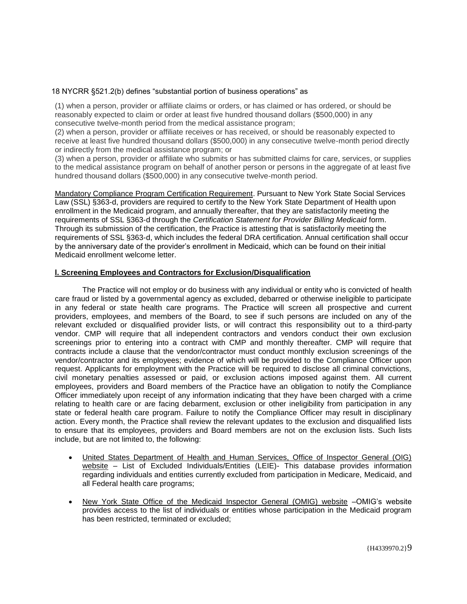18 NYCRR §521.2(b) defines "substantial portion of business operations" as

(1) when a person, provider or affiliate claims or orders, or has claimed or has ordered, or should be reasonably expected to claim or order at least five hundred thousand dollars (\$500,000) in any consecutive twelve-month period from the medical assistance program;

(2) when a person, provider or affiliate receives or has received, or should be reasonably expected to receive at least five hundred thousand dollars (\$500,000) in any consecutive twelve-month period directly or indirectly from the medical assistance program; or

(3) when a person, provider or affiliate who submits or has submitted claims for care, services, or supplies to the medical assistance program on behalf of another person or persons in the aggregate of at least five hundred thousand dollars (\$500,000) in any consecutive twelve-month period.

Mandatory Compliance Program Certification Requirement. Pursuant to New York State Social Services Law (SSL) §363-d, providers are required to certify to the New York State Department of Health upon enrollment in the Medicaid program, and annually thereafter, that they are satisfactorily meeting the requirements of SSL §363-d through the *[Certification Statement for Provider Billing Medicaid](https://www.emedny.org/info/ProviderEnrollment/ProviderMaintForms/490501_ETIN_CERT_Certification_Statement_Cert_Instructions_for_Existing_ETINs.pdf)* form. Through its submission of the certification, the Practice is attesting that is satisfactorily meeting the requirements of SSL §363-d, which includes the federal DRA certification. Annual certification shall occur by the anniversary date of the provider's enrollment in Medicaid, which can be found on their initial Medicaid enrollment welcome letter.

## **l. Screening Employees and Contractors for Exclusion/Disqualification**

The Practice will not employ or do business with any individual or entity who is convicted of health care fraud or listed by a governmental agency as excluded, debarred or otherwise ineligible to participate in any federal or state health care programs. The Practice will screen all prospective and current providers, employees, and members of the Board, to see if such persons are included on any of the relevant excluded or disqualified provider lists, or will contract this responsibility out to a third-party vendor. CMP will require that all independent contractors and vendors conduct their own exclusion screenings prior to entering into a contract with CMP and monthly thereafter. CMP will require that contracts include a clause that the vendor/contractor must conduct monthly exclusion screenings of the vendor/contractor and its employees; evidence of which will be provided to the Compliance Officer upon request. Applicants for employment with the Practice will be required to disclose all criminal convictions, civil monetary penalties assessed or paid, or exclusion actions imposed against them. All current employees, providers and Board members of the Practice have an obligation to notify the Compliance Officer immediately upon receipt of any information indicating that they have been charged with a crime relating to health care or are facing debarment, exclusion or other ineligibility from participation in any state or federal health care program. Failure to notify the Compliance Officer may result in disciplinary action. Every month, the Practice shall review the relevant updates to the exclusion and disqualified lists to ensure that its employees, providers and Board members are not on the exclusion lists. Such lists include, but are not limited to, the following:

- United States Department of Health and Human Services, Office of Inspector General (OIG) website – List of Excluded Individuals/Entities (LEIE)- This database provides information regarding individuals and entities currently excluded from participation in Medicare, Medicaid, and all Federal health care programs;
- New York State Office of the Medicaid Inspector General (OMIG) website –OMIG's website provides access to the list of individuals or entities whose participation in the Medicaid program has been restricted, terminated or excluded;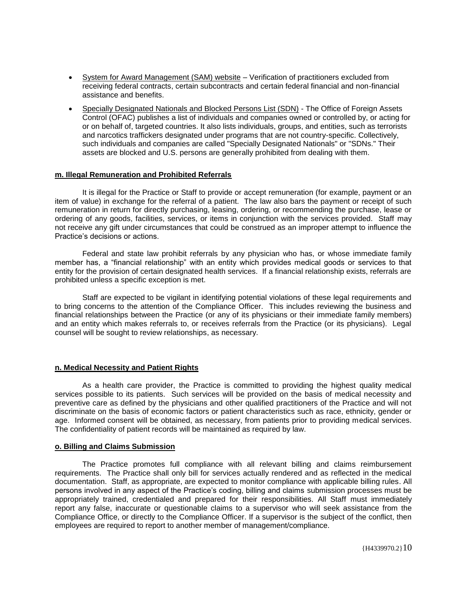- System for Award Management (SAM) website Verification of practitioners excluded from receiving federal contracts, certain subcontracts and certain federal financial and non-financial assistance and benefits.
- Specially Designated Nationals and Blocked Persons List (SDN) The Office of Foreign Assets Control (OFAC) publishes a list of individuals and companies owned or controlled by, or acting for or on behalf of, targeted countries. It also lists individuals, groups, and entities, such as terrorists and narcotics traffickers designated under programs that are not country-specific. Collectively, such individuals and companies are called "Specially Designated Nationals" or "SDNs." Their assets are blocked and U.S. persons are generally prohibited from dealing with them.

#### **m. Illegal Remuneration and Prohibited Referrals**

It is illegal for the Practice or Staff to provide or accept remuneration (for example, payment or an item of value) in exchange for the referral of a patient. The law also bars the payment or receipt of such remuneration in return for directly purchasing, leasing, ordering, or recommending the purchase, lease or ordering of any goods, facilities, services, or items in conjunction with the services provided. Staff may not receive any gift under circumstances that could be construed as an improper attempt to influence the Practice's decisions or actions.

Federal and state law prohibit referrals by any physician who has, or whose immediate family member has, a "financial relationship" with an entity which provides medical goods or services to that entity for the provision of certain designated health services. If a financial relationship exists, referrals are prohibited unless a specific exception is met.

Staff are expected to be vigilant in identifying potential violations of these legal requirements and to bring concerns to the attention of the Compliance Officer. This includes reviewing the business and financial relationships between the Practice (or any of its physicians or their immediate family members) and an entity which makes referrals to, or receives referrals from the Practice (or its physicians). Legal counsel will be sought to review relationships, as necessary.

#### **n. Medical Necessity and Patient Rights**

As a health care provider, the Practice is committed to providing the highest quality medical services possible to its patients. Such services will be provided on the basis of medical necessity and preventive care as defined by the physicians and other qualified practitioners of the Practice and will not discriminate on the basis of economic factors or patient characteristics such as race, ethnicity, gender or age. Informed consent will be obtained, as necessary, from patients prior to providing medical services. The confidentiality of patient records will be maintained as required by law.

#### **o. Billing and Claims Submission**

The Practice promotes full compliance with all relevant billing and claims reimbursement requirements. The Practice shall only bill for services actually rendered and as reflected in the medical documentation. Staff, as appropriate, are expected to monitor compliance with applicable billing rules. All persons involved in any aspect of the Practice's coding, billing and claims submission processes must be appropriately trained, credentialed and prepared for their responsibilities. All Staff must immediately report any false, inaccurate or questionable claims to a supervisor who will seek assistance from the Compliance Office, or directly to the Compliance Officer. If a supervisor is the subject of the conflict, then employees are required to report to another member of management/compliance.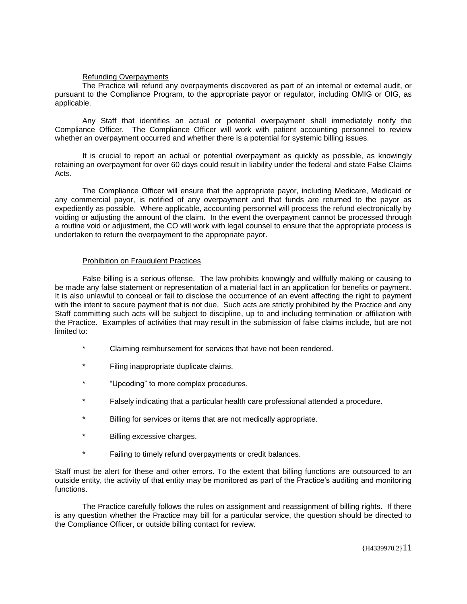#### Refunding Overpayments

The Practice will refund any overpayments discovered as part of an internal or external audit, or pursuant to the Compliance Program, to the appropriate payor or regulator, including OMIG or OIG, as applicable.

Any Staff that identifies an actual or potential overpayment shall immediately notify the Compliance Officer. The Compliance Officer will work with patient accounting personnel to review whether an overpayment occurred and whether there is a potential for systemic billing issues.

It is crucial to report an actual or potential overpayment as quickly as possible, as knowingly retaining an overpayment for over 60 days could result in liability under the federal and state False Claims Acts.

The Compliance Officer will ensure that the appropriate payor, including Medicare, Medicaid or any commercial payor, is notified of any overpayment and that funds are returned to the payor as expediently as possible. Where applicable, accounting personnel will process the refund electronically by voiding or adjusting the amount of the claim. In the event the overpayment cannot be processed through a routine void or adjustment, the CO will work with legal counsel to ensure that the appropriate process is undertaken to return the overpayment to the appropriate payor.

#### Prohibition on Fraudulent Practices

False billing is a serious offense. The law prohibits knowingly and willfully making or causing to be made any false statement or representation of a material fact in an application for benefits or payment. It is also unlawful to conceal or fail to disclose the occurrence of an event affecting the right to payment with the intent to secure payment that is not due. Such acts are strictly prohibited by the Practice and any Staff committing such acts will be subject to discipline, up to and including termination or affiliation with the Practice. Examples of activities that may result in the submission of false claims include, but are not limited to:

- Claiming reimbursement for services that have not been rendered.
- Filing inappropriate duplicate claims.
- \* "Upcoding" to more complex procedures.
- Falsely indicating that a particular health care professional attended a procedure.
- Billing for services or items that are not medically appropriate.
- Billing excessive charges.
- \* Failing to timely refund overpayments or credit balances.

Staff must be alert for these and other errors. To the extent that billing functions are outsourced to an outside entity, the activity of that entity may be monitored as part of the Practice's auditing and monitoring functions.

The Practice carefully follows the rules on assignment and reassignment of billing rights. If there is any question whether the Practice may bill for a particular service, the question should be directed to the Compliance Officer, or outside billing contact for review.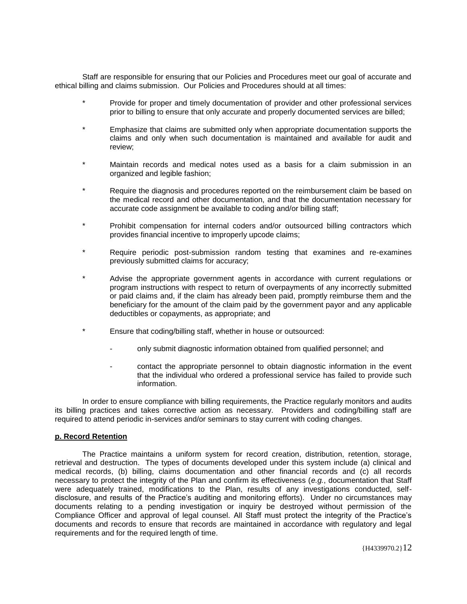Staff are responsible for ensuring that our Policies and Procedures meet our goal of accurate and ethical billing and claims submission. Our Policies and Procedures should at all times:

- \* Provide for proper and timely documentation of provider and other professional services prior to billing to ensure that only accurate and properly documented services are billed;
- \* Emphasize that claims are submitted only when appropriate documentation supports the claims and only when such documentation is maintained and available for audit and review;
- \* Maintain records and medical notes used as a basis for a claim submission in an organized and legible fashion;
- \* Require the diagnosis and procedures reported on the reimbursement claim be based on the medical record and other documentation, and that the documentation necessary for accurate code assignment be available to coding and/or billing staff;
- Prohibit compensation for internal coders and/or outsourced billing contractors which provides financial incentive to improperly upcode claims;
- \* Require periodic post-submission random testing that examines and re-examines previously submitted claims for accuracy;
- Advise the appropriate government agents in accordance with current regulations or program instructions with respect to return of overpayments of any incorrectly submitted or paid claims and, if the claim has already been paid, promptly reimburse them and the beneficiary for the amount of the claim paid by the government payor and any applicable deductibles or copayments, as appropriate; and
- \* Ensure that coding/billing staff, whether in house or outsourced:
	- only submit diagnostic information obtained from qualified personnel; and
	- contact the appropriate personnel to obtain diagnostic information in the event that the individual who ordered a professional service has failed to provide such information.

In order to ensure compliance with billing requirements, the Practice regularly monitors and audits its billing practices and takes corrective action as necessary. Providers and coding/billing staff are required to attend periodic in-services and/or seminars to stay current with coding changes.

#### **p. Record Retention**

The Practice maintains a uniform system for record creation, distribution, retention, storage, retrieval and destruction. The types of documents developed under this system include (a) clinical and medical records, (b) billing, claims documentation and other financial records and (c) all records necessary to protect the integrity of the Plan and confirm its effectiveness (*e.g.*, documentation that Staff were adequately trained, modifications to the Plan, results of any investigations conducted, selfdisclosure, and results of the Practice's auditing and monitoring efforts). Under no circumstances may documents relating to a pending investigation or inquiry be destroyed without permission of the Compliance Officer and approval of legal counsel. All Staff must protect the integrity of the Practice's documents and records to ensure that records are maintained in accordance with regulatory and legal requirements and for the required length of time.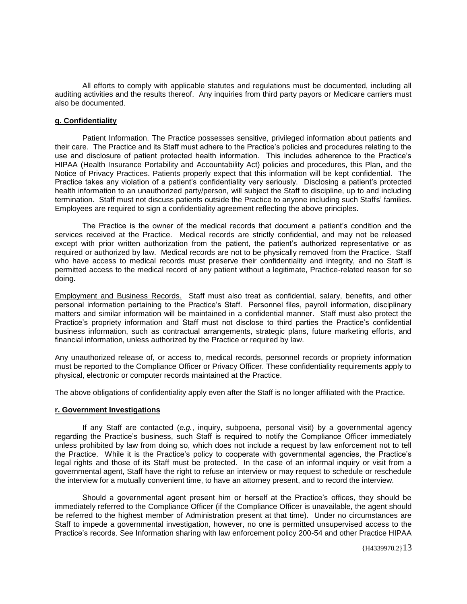All efforts to comply with applicable statutes and regulations must be documented, including all auditing activities and the results thereof. Any inquiries from third party payors or Medicare carriers must also be documented.

## **q. Confidentiality**

Patient Information. The Practice possesses sensitive, privileged information about patients and their care. The Practice and its Staff must adhere to the Practice's policies and procedures relating to the use and disclosure of patient protected health information. This includes adherence to the Practice's HIPAA (Health Insurance Portability and Accountability Act) policies and procedures, this Plan, and the Notice of Privacy Practices. Patients properly expect that this information will be kept confidential. The Practice takes any violation of a patient's confidentiality very seriously. Disclosing a patient's protected health information to an unauthorized party/person, will subject the Staff to discipline, up to and including termination. Staff must not discuss patients outside the Practice to anyone including such Staffs' families. Employees are required to sign a confidentiality agreement reflecting the above principles.

The Practice is the owner of the medical records that document a patient's condition and the services received at the Practice. Medical records are strictly confidential, and may not be released except with prior written authorization from the patient, the patient's authorized representative or as required or authorized by law. Medical records are not to be physically removed from the Practice. Staff who have access to medical records must preserve their confidentiality and integrity, and no Staff is permitted access to the medical record of any patient without a legitimate, Practice-related reason for so doing.

Employment and Business Records. Staff must also treat as confidential, salary, benefits, and other personal information pertaining to the Practice's Staff. Personnel files, payroll information, disciplinary matters and similar information will be maintained in a confidential manner. Staff must also protect the Practice's propriety information and Staff must not disclose to third parties the Practice's confidential business information, such as contractual arrangements, strategic plans, future marketing efforts, and financial information, unless authorized by the Practice or required by law.

Any unauthorized release of, or access to, medical records, personnel records or propriety information must be reported to the Compliance Officer or Privacy Officer. These confidentiality requirements apply to physical, electronic or computer records maintained at the Practice.

The above obligations of confidentiality apply even after the Staff is no longer affiliated with the Practice.

#### **r. Government Investigations**

If any Staff are contacted (*e.g.*, inquiry, subpoena, personal visit) by a governmental agency regarding the Practice's business, such Staff is required to notify the Compliance Officer immediately unless prohibited by law from doing so, which does not include a request by law enforcement not to tell the Practice. While it is the Practice's policy to cooperate with governmental agencies, the Practice's legal rights and those of its Staff must be protected. In the case of an informal inquiry or visit from a governmental agent, Staff have the right to refuse an interview or may request to schedule or reschedule the interview for a mutually convenient time, to have an attorney present, and to record the interview.

Should a governmental agent present him or herself at the Practice's offices, they should be immediately referred to the Compliance Officer (if the Compliance Officer is unavailable, the agent should be referred to the highest member of Administration present at that time). Under no circumstances are Staff to impede a governmental investigation, however, no one is permitted unsupervised access to the Practice's records. See Information sharing with law enforcement policy 200-54 and other Practice HIPAA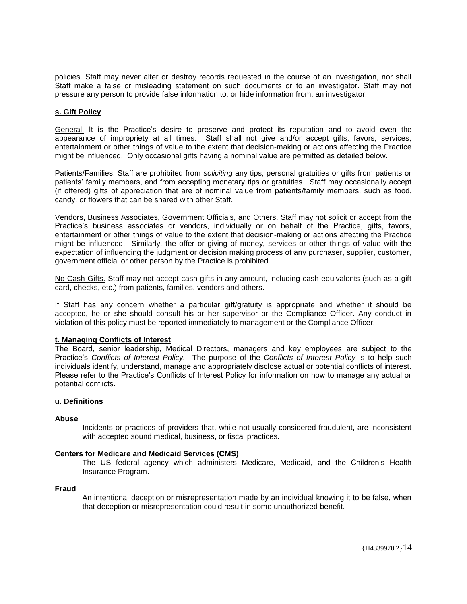policies. Staff may never alter or destroy records requested in the course of an investigation, nor shall Staff make a false or misleading statement on such documents or to an investigator. Staff may not pressure any person to provide false information to, or hide information from, an investigator.

#### **s. Gift Policy**

General. It is the Practice's desire to preserve and protect its reputation and to avoid even the appearance of impropriety at all times. Staff shall not give and/or accept gifts, favors, services, entertainment or other things of value to the extent that decision-making or actions affecting the Practice might be influenced. Only occasional gifts having a nominal value are permitted as detailed below.

Patients/Families. Staff are prohibited from *soliciting* any tips, personal gratuities or gifts from patients or patients' family members, and from accepting monetary tips or gratuities. Staff may occasionally accept (if offered) gifts of appreciation that are of nominal value from patients/family members, such as food, candy, or flowers that can be shared with other Staff.

Vendors, Business Associates, Government Officials, and Others. Staff may not solicit or accept from the Practice's business associates or vendors, individually or on behalf of the Practice, gifts, favors, entertainment or other things of value to the extent that decision-making or actions affecting the Practice might be influenced. Similarly, the offer or giving of money, services or other things of value with the expectation of influencing the judgment or decision making process of any purchaser, supplier, customer, government official or other person by the Practice is prohibited.

No Cash Gifts. Staff may not accept cash gifts in any amount, including cash equivalents (such as a gift card, checks, etc.) from patients, families, vendors and others.

If Staff has any concern whether a particular gift/gratuity is appropriate and whether it should be accepted, he or she should consult his or her supervisor or the Compliance Officer. Any conduct in violation of this policy must be reported immediately to management or the Compliance Officer.

#### **t. Managing Conflicts of Interest**

The Board, senior leadership, Medical Directors, managers and key employees are subject to the Practice's *Conflicts of Interest Policy.* The purpose of the *Conflicts of Interest Policy* is to help such individuals identify, understand, manage and appropriately disclose actual or potential conflicts of interest. Please refer to the Practice's Conflicts of Interest Policy for information on how to manage any actual or potential conflicts.

#### **u. Definitions**

#### **Abuse**

Incidents or practices of providers that, while not usually considered fraudulent, are inconsistent with accepted sound medical, business, or fiscal practices.

#### **Centers for Medicare and Medicaid Services (CMS)**

The US federal agency which administers Medicare, Medicaid, and the Children's Health Insurance Program.

#### **Fraud**

An intentional deception or misrepresentation made by an individual knowing it to be false, when that deception or misrepresentation could result in some unauthorized benefit.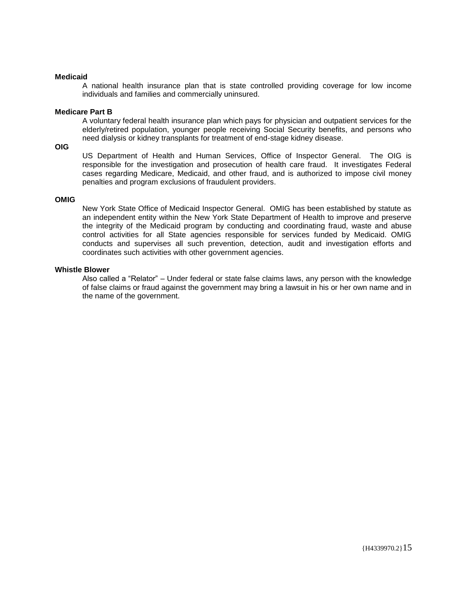#### **Medicaid**

A national health insurance plan that is state controlled providing coverage for low income individuals and families and commercially uninsured.

#### **Medicare Part B**

A voluntary federal health insurance plan which pays for physician and outpatient services for the elderly/retired population, younger people receiving Social Security benefits, and persons who need dialysis or kidney transplants for treatment of end-stage kidney disease.

## **OIG**

US Department of Health and Human Services, Office of Inspector General. The OIG is responsible for the investigation and prosecution of health care fraud. It investigates Federal cases regarding Medicare, Medicaid, and other fraud, and is authorized to impose civil money penalties and program exclusions of fraudulent providers.

#### **OMIG**

New York State Office of Medicaid Inspector General. OMIG has been established by statute as an independent entity within the New York State Department of Health to improve and preserve the integrity of the Medicaid program by conducting and coordinating fraud, waste and abuse control activities for all State agencies responsible for services funded by Medicaid. OMIG conducts and supervises all such prevention, detection, audit and investigation efforts and coordinates such activities with other government agencies.

#### **Whistle Blower**

Also called a "Relator" – Under federal or state false claims laws, any person with the knowledge of false claims or fraud against the government may bring a lawsuit in his or her own name and in the name of the government.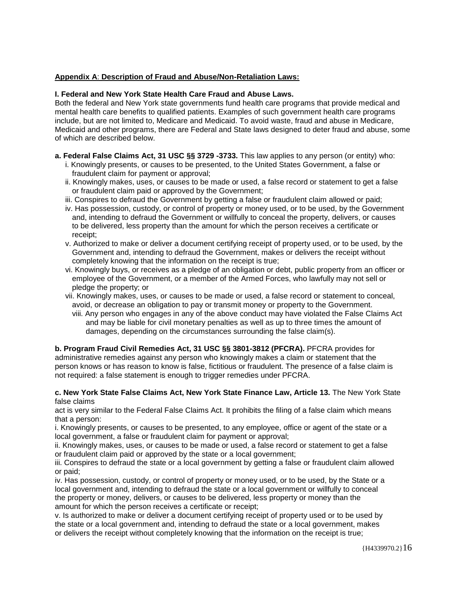## **Appendix A**: **Description of Fraud and Abuse/Non-Retaliation Laws:**

## **I. Federal and New York State Health Care Fraud and Abuse Laws.**

Both the federal and New York state governments fund health care programs that provide medical and mental health care benefits to qualified patients. Examples of such government health care programs include, but are not limited to, Medicare and Medicaid. To avoid waste, fraud and abuse in Medicare, Medicaid and other programs, there are Federal and State laws designed to deter fraud and abuse, some of which are described below.

- **a. Federal False Claims Act, 31 USC §§ 3729 -3733.** This law applies to any person (or entity) who:
	- i. Knowingly presents, or causes to be presented, to the United States Government, a false or fraudulent claim for payment or approval;
	- ii. Knowingly makes, uses, or causes to be made or used, a false record or statement to get a false or fraudulent claim paid or approved by the Government;
	- iii. Conspires to defraud the Government by getting a false or fraudulent claim allowed or paid;
	- iv. Has possession, custody, or control of property or money used, or to be used, by the Government and, intending to defraud the Government or willfully to conceal the property, delivers, or causes to be delivered, less property than the amount for which the person receives a certificate or receipt;
	- v. Authorized to make or deliver a document certifying receipt of property used, or to be used, by the Government and, intending to defraud the Government, makes or delivers the receipt without completely knowing that the information on the receipt is true;
	- vi. Knowingly buys, or receives as a pledge of an obligation or debt, public property from an officer or employee of the Government, or a member of the Armed Forces, who lawfully may not sell or pledge the property; or
	- vii. Knowingly makes, uses, or causes to be made or used, a false record or statement to conceal, avoid, or decrease an obligation to pay or transmit money or property to the Government.
		- viii. Any person who engages in any of the above conduct may have violated the False Claims Act and may be liable for civil monetary penalties as well as up to three times the amount of damages, depending on the circumstances surrounding the false claim(s).

**b. Program Fraud Civil Remedies Act, 31 USC §§ 3801-3812 (PFCRA).** PFCRA provides for administrative remedies against any person who knowingly makes a claim or statement that the person knows or has reason to know is false, fictitious or fraudulent. The presence of a false claim is not required: a false statement is enough to trigger remedies under PFCRA.

#### **c. New York State False Claims Act, New York State Finance Law, Article 13.** The New York State false claims

act is very similar to the Federal False Claims Act. It prohibits the filing of a false claim which means that a person:

i. Knowingly presents, or causes to be presented, to any employee, office or agent of the state or a local government, a false or fraudulent claim for payment or approval;

ii. Knowingly makes, uses, or causes to be made or used, a false record or statement to get a false or fraudulent claim paid or approved by the state or a local government;

iii. Conspires to defraud the state or a local government by getting a false or fraudulent claim allowed or paid;

iv. Has possession, custody, or control of property or money used, or to be used, by the State or a local government and, intending to defraud the state or a local government or willfully to conceal the property or money, delivers, or causes to be delivered, less property or money than the amount for which the person receives a certificate or receipt;

v. Is authorized to make or deliver a document certifying receipt of property used or to be used by the state or a local government and, intending to defraud the state or a local government, makes or delivers the receipt without completely knowing that the information on the receipt is true;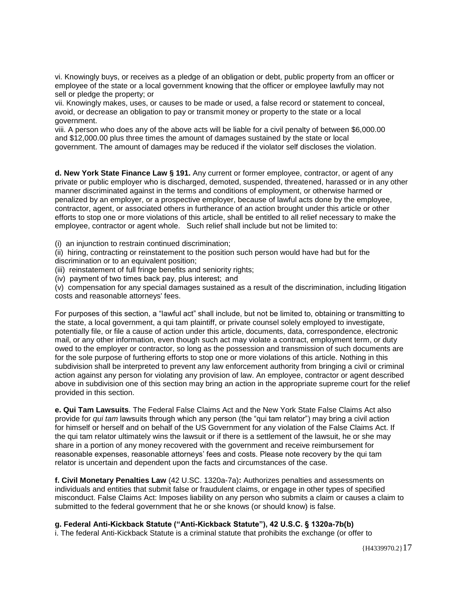vi. Knowingly buys, or receives as a pledge of an obligation or debt, public property from an officer or employee of the state or a local government knowing that the officer or employee lawfully may not sell or pledge the property; or

vii. Knowingly makes, uses, or causes to be made or used, a false record or statement to conceal, avoid, or decrease an obligation to pay or transmit money or property to the state or a local government.

viii. A person who does any of the above acts will be liable for a civil penalty of between \$6,000.00 and \$12,000.00 plus three times the amount of damages sustained by the state or local government. The amount of damages may be reduced if the violator self discloses the violation.

**d. New York State Finance Law § 191.** Any current or former employee, contractor, or agent of any private or public employer who is discharged, demoted, suspended, threatened, harassed or in any other manner discriminated against in the terms and conditions of employment, or otherwise harmed or penalized by an employer, or a prospective employer, because of lawful acts done by the employee, contractor, agent, or associated others in furtherance of an action brought under this article or other efforts to stop one or more violations of this article, shall be entitled to all relief necessary to make the employee, contractor or agent whole. Such relief shall include but not be limited to:

(i) an injunction to restrain continued discrimination;

(ii) hiring, contracting or reinstatement to the position such person would have had but for the discrimination or to an equivalent position;

(iii) reinstatement of full fringe benefits and seniority rights:

(iv) payment of two times back pay, plus interest;  and

(v) compensation for any special damages sustained as a result of the discrimination, including litigation costs and reasonable attorneys' fees.

For purposes of this section, a "lawful act" shall include, but not be limited to, obtaining or transmitting to the state, a local government, a qui tam plaintiff, or private counsel solely employed to investigate, potentially file, or file a cause of action under this article, documents, data, correspondence, electronic mail, or any other information, even though such act may violate a contract, employment term, or duty owed to the employer or contractor, so long as the possession and transmission of such documents are for the sole purpose of furthering efforts to stop one or more violations of this article. Nothing in this subdivision shall be interpreted to prevent any law enforcement authority from bringing a civil or criminal action against any person for violating any provision of law. An employee, contractor or agent described above in subdivision one of this section may bring an action in the appropriate supreme court for the relief provided in this section.

**e. Qui Tam Lawsuits**. The Federal False Claims Act and the New York State False Claims Act also provide for *qui tam* lawsuits through which any person (the "qui tam relator") may bring a civil action for himself or herself and on behalf of the US Government for any violation of the False Claims Act. If the qui tam relator ultimately wins the lawsuit or if there is a settlement of the lawsuit, he or she may share in a portion of any money recovered with the government and receive reimbursement for reasonable expenses, reasonable attorneys' fees and costs. Please note recovery by the qui tam relator is uncertain and dependent upon the facts and circumstances of the case.

**f. Civil Monetary Penalties Law** (42 U.SC. 1320a-7a)**:** Authorizes penalties and assessments on individuals and entities that submit false or fraudulent claims, or engage in other types of specified misconduct. False Claims Act: Imposes liability on any person who submits a claim or causes a claim to submitted to the federal government that he or she knows (or should know) is false.

## **g. Federal Anti-Kickback Statute ("Anti-Kickback Statute"), 42 U.S.C. § 1320a-7b(b)**

i. The federal Anti-Kickback Statute is a criminal statute that prohibits the exchange (or offer to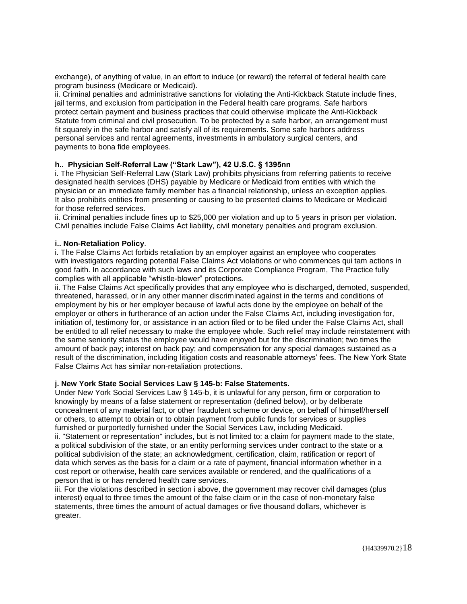exchange), of anything of value, in an effort to induce (or reward) the referral of federal health care program business (Medicare or Medicaid).

ii. Criminal penalties and administrative sanctions for violating the Anti-Kickback Statute include fines, jail terms, and exclusion from participation in the Federal health care programs. Safe harbors protect certain payment and business practices that could otherwise implicate the Anti-Kickback Statute from criminal and civil prosecution. To be protected by a safe harbor, an arrangement must fit squarely in the safe harbor and satisfy all of its requirements. Some safe harbors address personal services and rental agreements, investments in ambulatory surgical centers, and payments to bona fide employees.

## **h.. Physician Self-Referral Law ("Stark Law"), 42 U.S.C. § 1395nn**

i. The Physician Self-Referral Law (Stark Law) prohibits physicians from referring patients to receive designated health services (DHS) payable by Medicare or Medicaid from entities with which the physician or an immediate family member has a financial relationship, unless an exception applies. It also prohibits entities from presenting or causing to be presented claims to Medicare or Medicaid for those referred services.

ii. Criminal penalties include fines up to \$25,000 per violation and up to 5 years in prison per violation. Civil penalties include False Claims Act liability, civil monetary penalties and program exclusion.

#### **i.. Non-Retaliation Policy**.

i. The False Claims Act forbids retaliation by an employer against an employee who cooperates with investigators regarding potential False Claims Act violations or who commences qui tam actions in good faith. In accordance with such laws and its Corporate Compliance Program, The Practice fully complies with all applicable "whistle-blower" protections.

ii. The False Claims Act specifically provides that any employee who is discharged, demoted, suspended, threatened, harassed, or in any other manner discriminated against in the terms and conditions of employment by his or her employer because of lawful acts done by the employee on behalf of the employer or others in furtherance of an action under the False Claims Act, including investigation for, initiation of, testimony for, or assistance in an action filed or to be filed under the False Claims Act, shall be entitled to all relief necessary to make the employee whole. Such relief may include reinstatement with the same seniority status the employee would have enjoyed but for the discrimination; two times the amount of back pay; interest on back pay; and compensation for any special damages sustained as a result of the discrimination, including litigation costs and reasonable attorneys' fees. The New York State False Claims Act has similar non-retaliation protections.

#### **j. New York State Social Services Law § 145-b: False Statements.**

Under New York Social Services Law § 145-b, it is unlawful for any person, firm or corporation to knowingly by means of a false statement or representation (defined below), or by deliberate concealment of any material fact, or other fraudulent scheme or device, on behalf of himself/herself or others, to attempt to obtain or to obtain payment from public funds for services or supplies furnished or purportedly furnished under the Social Services Law, including Medicaid.

ii. "Statement or representation" includes, but is not limited to: a claim for payment made to the state, a political subdivision of the state, or an entity performing services under contract to the state or a political subdivision of the state; an acknowledgment, certification, claim, ratification or report of data which serves as the basis for a claim or a rate of payment, financial information whether in a cost report or otherwise, health care services available or rendered, and the qualifications of a person that is or has rendered health care services.

iii. For the violations described in section i above, the government may recover civil damages (plus interest) equal to three times the amount of the false claim or in the case of non-monetary false statements, three times the amount of actual damages or five thousand dollars, whichever is greater.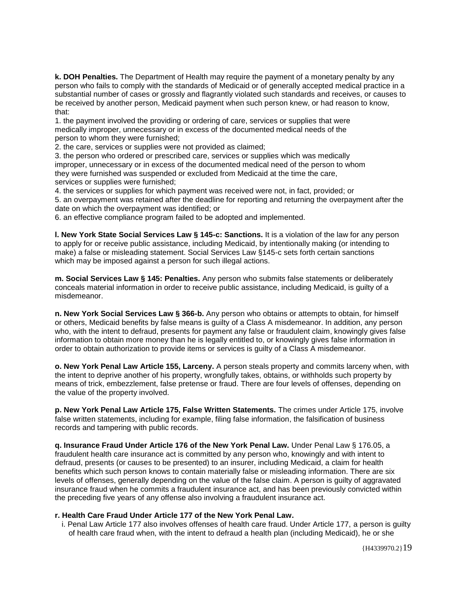**k. DOH Penalties.** The Department of Health may require the payment of a monetary penalty by any person who fails to comply with the standards of Medicaid or of generally accepted medical practice in a substantial number of cases or grossly and flagrantly violated such standards and receives, or causes to be received by another person, Medicaid payment when such person knew, or had reason to know, that:

1. the payment involved the providing or ordering of care, services or supplies that were medically improper, unnecessary or in excess of the documented medical needs of the person to whom they were furnished;

2. the care, services or supplies were not provided as claimed;

3. the person who ordered or prescribed care, services or supplies which was medically improper, unnecessary or in excess of the documented medical need of the person to whom they were furnished was suspended or excluded from Medicaid at the time the care, services or supplies were furnished;

4. the services or supplies for which payment was received were not, in fact, provided; or 5. an overpayment was retained after the deadline for reporting and returning the overpayment after the

date on which the overpayment was identified; or

6. an effective compliance program failed to be adopted and implemented.

**l. New York State Social Services Law § 145-c: Sanctions.** It is a violation of the law for any person to apply for or receive public assistance, including Medicaid, by intentionally making (or intending to make) a false or misleading statement. Social Services Law §145-c sets forth certain sanctions which may be imposed against a person for such illegal actions.

**m. Social Services Law § 145: Penalties.** Any person who submits false statements or deliberately conceals material information in order to receive public assistance, including Medicaid, is guilty of a misdemeanor.

**n. New York Social Services Law § 366-b.** Any person who obtains or attempts to obtain, for himself or others, Medicaid benefits by false means is guilty of a Class A misdemeanor. In addition, any person who, with the intent to defraud, presents for payment any false or fraudulent claim, knowingly gives false information to obtain more money than he is legally entitled to, or knowingly gives false information in order to obtain authorization to provide items or services is guilty of a Class A misdemeanor.

**o. New York Penal Law Article 155, Larceny.** A person steals property and commits larceny when, with the intent to deprive another of his property, wrongfully takes, obtains, or withholds such property by means of trick, embezzlement, false pretense or fraud. There are four levels of offenses, depending on the value of the property involved.

**p. New York Penal Law Article 175, False Written Statements.** The crimes under Article 175, involve false written statements, including for example, filing false information, the falsification of business records and tampering with public records.

**q. Insurance Fraud Under Article 176 of the New York Penal Law.** Under Penal Law § 176.05, a fraudulent health care insurance act is committed by any person who, knowingly and with intent to defraud, presents (or causes to be presented) to an insurer, including Medicaid, a claim for health benefits which such person knows to contain materially false or misleading information. There are six levels of offenses, generally depending on the value of the false claim. A person is guilty of aggravated insurance fraud when he commits a fraudulent insurance act, and has been previously convicted within the preceding five years of any offense also involving a fraudulent insurance act.

## **r. Health Care Fraud Under Article 177 of the New York Penal Law.**

i. Penal Law Article 177 also involves offenses of health care fraud. Under Article 177, a person is guilty of health care fraud when, with the intent to defraud a health plan (including Medicaid), he or she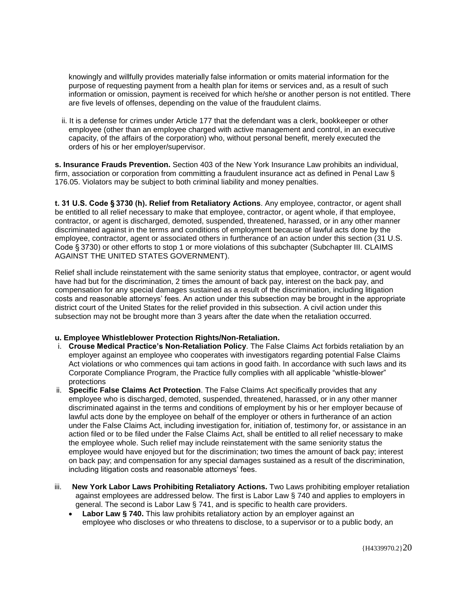knowingly and willfully provides materially false information or omits material information for the purpose of requesting payment from a health plan for items or services and, as a result of such information or omission, payment is received for which he/she or another person is not entitled. There are five levels of offenses, depending on the value of the fraudulent claims.

ii. It is a defense for crimes under Article 177 that the defendant was a clerk, bookkeeper or other employee (other than an employee charged with active management and control, in an executive capacity, of the affairs of the corporation) who, without personal benefit, merely executed the orders of his or her employer/supervisor.

**s. Insurance Frauds Prevention.** Section 403 of the New York Insurance Law prohibits an individual, firm, association or corporation from committing a fraudulent insurance act as defined in Penal Law § 176.05. Violators may be subject to both criminal liability and money penalties.

**t. 31 U.S. Code § 3730 (h). Relief from Retaliatory Actions**. Any employee, contractor, or agent shall be entitled to all relief necessary to make that employee, contractor, or agent whole, if that employee, contractor, or agent is discharged, demoted, suspended, threatened, harassed, or in any other manner discriminated against in the terms and conditions of employment because of lawful acts done by the employee, contractor, agent or associated others in furtherance of an action under this section (31 U.S. Code § 3730) or other efforts to stop 1 or more violations of this subchapter ([Subchapter III. CLAIMS](https://www.law.cornell.edu/uscode/text/31/subtitle-III/chapter-37/subchapter-III)  [AGAINST THE UNITED STATES GOVERNMENT\)](https://www.law.cornell.edu/uscode/text/31/subtitle-III/chapter-37/subchapter-III).

Relief shall include reinstatement with the same seniority status that employee, contractor, or agent would have had but for the discrimination, 2 times the amount of back pay, interest on the back pay, and compensation for any special damages sustained as a result of the discrimination, including litigation costs and reasonable attorneys' fees. An action under this subsection may be brought in the appropriate district court of the United States for the relief provided in this subsection. A civil action under this subsection may not be brought more than 3 years after the date when the retaliation occurred.

#### **u. Employee Whistleblower Protection Rights/Non-Retaliation.**

- i. **Crouse Medical Practice's Non-Retaliation Policy**. The False Claims Act forbids retaliation by an employer against an employee who cooperates with investigators regarding potential False Claims Act violations or who commences qui tam actions in good faith. In accordance with such laws and its Corporate Compliance Program, the Practice fully complies with all applicable "whistle-blower" protections
- ii. **Specific False Claims Act Protection**. The False Claims Act specifically provides that any employee who is discharged, demoted, suspended, threatened, harassed, or in any other manner discriminated against in the terms and conditions of employment by his or her employer because of lawful acts done by the employee on behalf of the employer or others in furtherance of an action under the False Claims Act, including investigation for, initiation of, testimony for, or assistance in an action filed or to be filed under the False Claims Act, shall be entitled to all relief necessary to make the employee whole. Such relief may include reinstatement with the same seniority status the employee would have enjoyed but for the discrimination; two times the amount of back pay; interest on back pay; and compensation for any special damages sustained as a result of the discrimination, including litigation costs and reasonable attorneys' fees.
- iii. **New York Labor Laws Prohibiting Retaliatory Actions.** Two Laws prohibiting employer retaliation against employees are addressed below. The first is Labor Law § 740 and applies to employers in general. The second is Labor Law § 741, and is specific to health care providers.
	- **Labor Law § 740.** This law prohibits retaliatory action by an employer against an employee who discloses or who threatens to disclose, to a supervisor or to a public body, an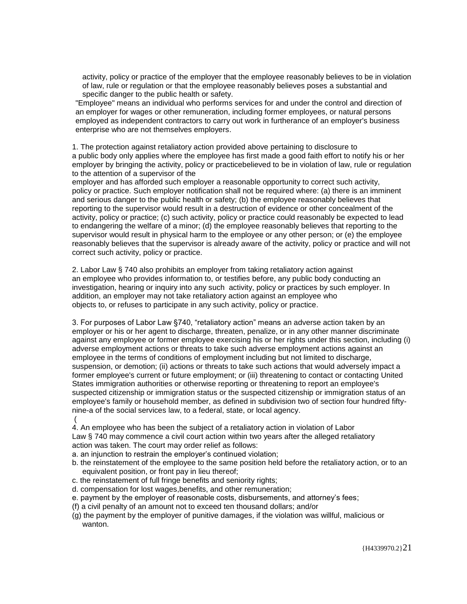activity, policy or practice of the employer that the employee reasonably believes to be in violation of law, rule or regulation or that the employee reasonably believes poses a substantial and specific danger to the public health or safety.

"Employee" means an individual who performs services for and under the control and direction of an employer for wages or other remuneration, including former employees, or natural persons employed as independent contractors to carry out work in furtherance of an employer's business enterprise who are not themselves employers.

1. The protection against retaliatory action provided above pertaining to disclosure to a public body only applies where the employee has first made a good faith effort to notify his or her employer by bringing the activity, policy or practicebelieved to be in violation of law, rule or regulation to the attention of a supervisor of the

employer and has afforded such employer a reasonable opportunity to correct such activity, policy or practice. Such employer notification shall not be required where: (a) there is an imminent and serious danger to the public health or safety; (b) the employee reasonably believes that reporting to the supervisor would result in a destruction of evidence or other concealment of the activity, policy or practice; (c) such activity, policy or practice could reasonably be expected to lead to endangering the welfare of a minor; (d) the employee reasonably believes that reporting to the supervisor would result in physical harm to the employee or any other person; or (e) the employee reasonably believes that the supervisor is already aware of the activity, policy or practice and will not correct such activity, policy or practice.

2. Labor Law § 740 also prohibits an employer from taking retaliatory action against an employee who provides information to, or testifies before, any public body conducting an investigation, hearing or inquiry into any such activity, policy or practices by such employer. In addition, an employer may not take retaliatory action against an employee who objects to, or refuses to participate in any such activity, policy or practice.

3. For purposes of Labor Law §740, "retaliatory action" means an adverse action taken by an employer or his or her agent to discharge, threaten, penalize, or in any other manner discriminate against any employee or former employee exercising his or her rights under this section, including (i) adverse employment actions or threats to take such adverse employment actions against an employee in the terms of conditions of employment including but not limited to discharge, suspension, or demotion; (ii) actions or threats to take such actions that would adversely impact a former employee's current or future employment; or (iii) threatening to contact or contacting United States immigration authorities or otherwise reporting or threatening to report an employee's suspected citizenship or immigration status or the suspected citizenship or immigration status of an employee's family or household member, as defined in subdivision two of section four hundred fiftynine-a of the social services law, to a federal, state, or local agency. (

4. An employee who has been the subject of a retaliatory action in violation of Labor Law § 740 may commence a civil court action within two years after the alleged retaliatory action was taken. The court may order relief as follows:

a. an injunction to restrain the employer's continued violation;

- b. the reinstatement of the employee to the same position held before the retaliatory action, or to an equivalent position, or front pay in lieu thereof;
- c. the reinstatement of full fringe benefits and seniority rights;
- d. compensation for lost wages,benefits, and other remuneration;
- e. payment by the employer of reasonable costs, disbursements, and attorney's fees;
- (f) a civil penalty of an amount not to exceed ten thousand dollars; and/or
- (g) the payment by the employer of punitive damages, if the violation was willful, malicious or wanton.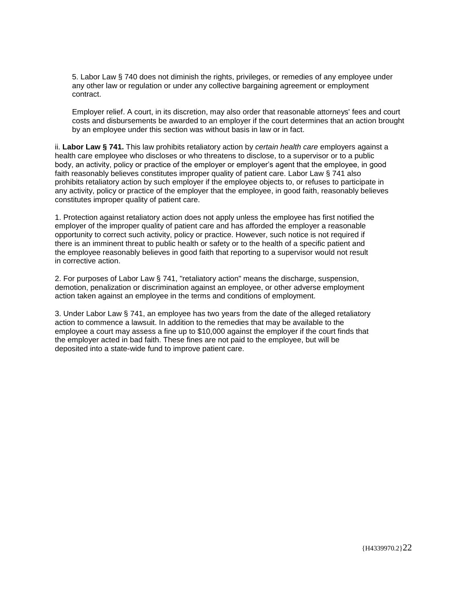5. Labor Law § 740 does not diminish the rights, privileges, or remedies of any employee under any other law or regulation or under any collective bargaining agreement or employment contract.

Employer relief. A court, in its discretion, may also order that reasonable attorneys' fees and court costs and disbursements be awarded to an employer if the court determines that an action brought by an employee under this section was without basis in law or in fact.

ii. **Labor Law § 741.** This law prohibits retaliatory action by *certain health care* employers against a health care employee who discloses or who threatens to disclose, to a supervisor or to a public body, an activity, policy or practice of the employer or employer's agent that the employee, in good faith reasonably believes constitutes improper quality of patient care. Labor Law § 741 also prohibits retaliatory action by such employer if the employee objects to, or refuses to participate in any activity, policy or practice of the employer that the employee, in good faith, reasonably believes constitutes improper quality of patient care.

1. Protection against retaliatory action does not apply unless the employee has first notified the employer of the improper quality of patient care and has afforded the employer a reasonable opportunity to correct such activity, policy or practice. However, such notice is not required if there is an imminent threat to public health or safety or to the health of a specific patient and the employee reasonably believes in good faith that reporting to a supervisor would not result in corrective action.

2. For purposes of Labor Law § 741, "retaliatory action" means the discharge, suspension, demotion, penalization or discrimination against an employee, or other adverse employment action taken against an employee in the terms and conditions of employment.

3. Under Labor Law § 741, an employee has two years from the date of the alleged retaliatory action to commence a lawsuit. In addition to the remedies that may be available to the employee a court may assess a fine up to \$10,000 against the employer if the court finds that the employer acted in bad faith. These fines are not paid to the employee, but will be deposited into a state-wide fund to improve patient care.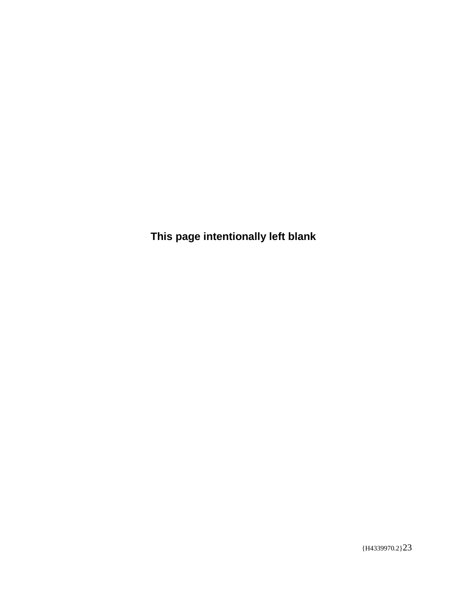**This page intentionally left blank**